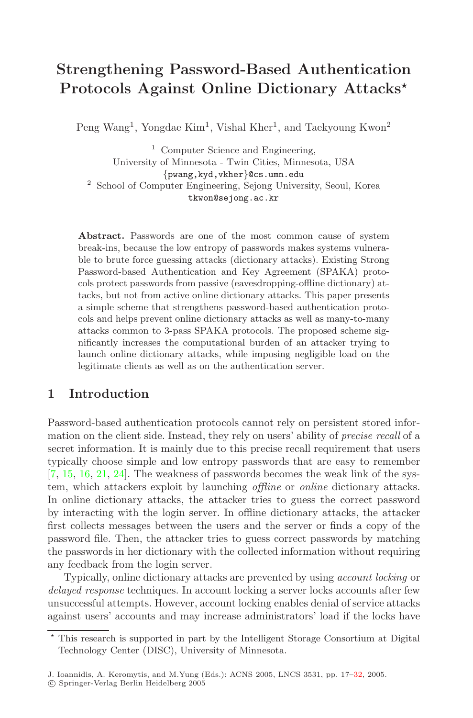# **Strengthening Password-Based Authentication Protocols Against Online Dictionary Attacks**

Peng Wang<sup>1</sup>, Yongdae Kim<sup>1</sup>, Vishal Kher<sup>1</sup>, and Taekyoung Kwon<sup>2</sup>

<sup>1</sup> Computer Science and Engineering, University of Minnesota - Twin Cities, Minnesota, USA *{*pwang,kyd,vkher*}*@cs.umn.edu <sup>2</sup> School of Computer Engineering, Sejong University, Seoul, Korea tkwon@sejong.ac.kr

**Abstract.** Passwords are one of the most common cause of system break-ins, because the low entropy of passwords makes systems vulnerable to brute force guessing attacks (dictionary attacks). Existing Strong Password-based Authentication and Key Agreement (SPAKA) protocols protect passwords from passive (eavesdropping-offline dictionary) attacks, but not from active online dictionary attacks. This paper presents a simple scheme that strengthens password-based authentication protocols and helps prevent online dictionary attacks as well as many-to-many attacks common to 3-pass SPAKA protocols. The proposed scheme significantly increases the computational burden of an attacker trying to launch online dictionary attacks, while imposing negligible load on the legitimate clients as well as on the authentication server.

### **1 Introduction**

Password-based authentication protocols cannot rely on persistent stored information on the client side. Instead, they rely on users' ability of *precise recall* of a secret information. It is mainly due to this precise recall requirement that users typically choose simple and low entropy passwords that are easy to remember [\[7,](#page-14-0) [15,](#page-15-0) [16,](#page-15-1) [21,](#page-15-2) [24\]](#page-15-3). The weakness of passwords becomes the weak link of the system, which attackers exploit by launching *offline* or *online* dictionary attacks. In online dictionary attacks, the attacker tries to guess the correct password by interacting with the login server. In offline dictionary attacks, the attacker first collects messages between the users and the server or finds a copy of the password file. Then, the attacker tries to guess correct passwords by matching the passwords in her dictionary with the collected information without requiring any feedback from the login server.

Typically, online dictionary attacks are prevented by using *account locking* or *delayed response* techniques. In account locking a server locks accounts after few unsuccessful attempts. However, account locking enables denial of service attacks against users' accounts and may increase administrators' load if the locks have

This research is supported in part by the Intelligent Storage Consortium at Digital Technology Center (DISC), University of Minnesota.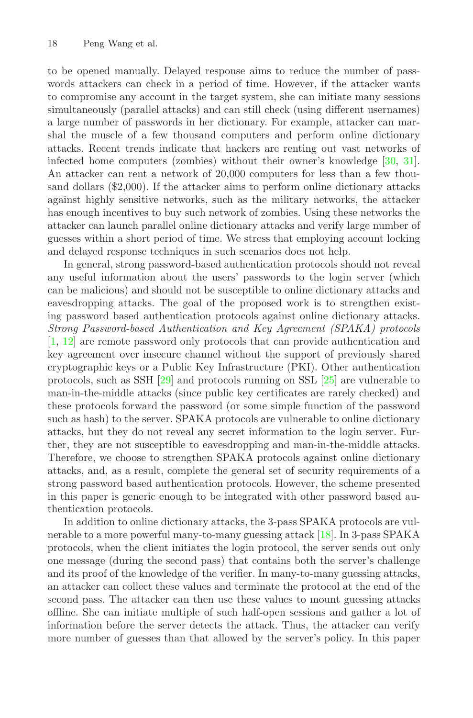to be opened manually. Delayed response aims to reduce the number of passwords attackers can check in a period of time. However, if the attacker wants to compromise any account in the target system, she can initiate many sessions simultaneously (parallel attacks) and can still check (using different usernames) a large number of passwords in her dictionary. For example, attacker can marshal the muscle of a few thousand computers and perform online dictionary attacks. Recent trends indicate that hackers are renting out vast networks of infected home computers (zombies) without their owner's knowledge [\[30](#page-15-5), [31\]](#page-15-6). An attacker can rent a network of 20,000 computers for less than a few thousand dollars (\$2,000). If the attacker aims to perform online dictionary attacks against highly sensitive networks, such as the military networks, the attacker has enough incentives to buy such network of zombies. Using these networks the attacker can launch parallel online dictionary attacks and verify large number of guesses within a short period of time. We stress that employing account locking and delayed response techniques in such scenarios does not help.

In general, strong password-based authentication protocols should not reveal any useful information about the users' passwords to the login server (which can be malicious) and should not be susceptible to online dictionary attacks and eavesdropping attacks. The goal of the proposed work is to strengthen existing password based authentication protocols against online dictionary attacks. *Strong Password-based Authentication and Key Agreement (SPAKA) protocols* [\[1,](#page-14-1) [12\]](#page-14-2) are remote password only protocols that can provide authentication and key agreement over insecure channel without the support of previously shared cryptographic keys or a Public Key Infrastructure (PKI). Other authentication protocols, such as SSH [\[29\]](#page-15-7) and protocols running on SSL [\[25\]](#page-15-8) are vulnerable to man-in-the-middle attacks (since public key certificates are rarely checked) and these protocols forward the password (or some simple function of the password such as hash) to the server. SPAKA protocols are vulnerable to online dictionary attacks, but they do not reveal any secret information to the login server. Further, they are not susceptible to eavesdropping and man-in-the-middle attacks. Therefore, we choose to strengthen SPAKA protocols against online dictionary attacks, and, as a result, complete the general set of security requirements of a strong password based authentication protocols. However, the scheme presented in this paper is generic enough to be integrated with other password based authentication protocols.

In addition to online dictionary attacks, the 3-pass SPAKA protocols are vulnerable to a more powerful many-to-many guessing attack [\[18](#page-15-9)]. In 3-pass SPAKA protocols, when the client initiates the login protocol, the server sends out only one message (during the second pass) that contains both the server's challenge and its proof of the knowledge of the verifier. In many-to-many guessing attacks, an attacker can collect these values and terminate the protocol at the end of the second pass. The attacker can then use these values to mount guessing attacks offline. She can initiate multiple of such half-open sessions and gather a lot of information before the server detects the attack. Thus, the attacker can verify more number of guesses than that allowed by the server's policy. In this paper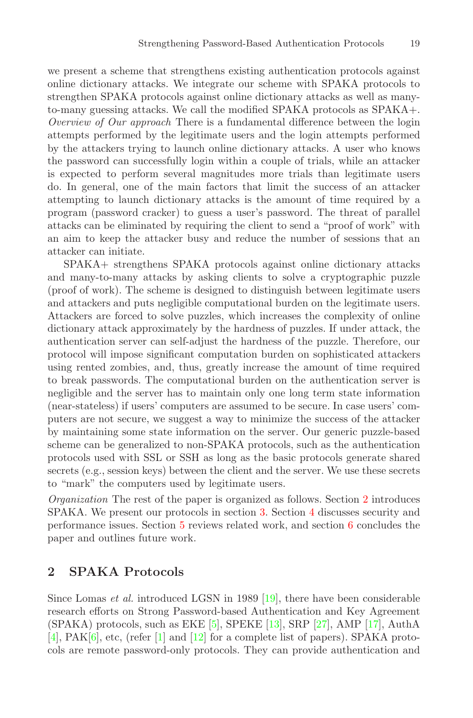we present a scheme that strengthens existing authentication protocols against online dictionary attacks. We integrate our scheme with SPAKA protocols to strengthen SPAKA protocols against online dictionary attacks as well as manyto-many guessing attacks. We call the modified SPAKA protocols as SPAKA+. *Overview of Our approach* There is a fundamental difference between the login attempts performed by the legitimate users and the login attempts performed by the attackers trying to launch online dictionary attacks. A user who knows the password can successfully login within a couple of trials, while an attacker is expected to perform several magnitudes more trials than legitimate users do. In general, one of the main factors that limit the success of an attacker attempting to launch dictionary attacks is the amount of time required by a program (password cracker) to guess a user's password. The threat of parallel attacks can be eliminated by requiring the client to send a "proof of work" with an aim to keep the attacker busy and reduce the number of sessions that an attacker can initiate.

SPAKA+ strengthens SPAKA protocols against online dictionary attacks and many-to-many attacks by asking clients to solve a cryptographic puzzle (proof of work). The scheme is designed to distinguish between legitimate users and attackers and puts negligible computational burden on the legitimate users. Attackers are forced to solve puzzles, which increases the complexity of online dictionary attack approximately by the hardness of puzzles. If under attack, the authentication server can self-adjust the hardness of the puzzle. Therefore, our protocol will impose significant computation burden on sophisticated attackers using rented zombies, and, thus, greatly increase the amount of time required to break passwords. The computational burden on the authentication server is negligible and the server has to maintain only one long term state information (near-stateless) if users' computers are assumed to be secure. In case users' computers are not secure, we suggest a way to minimize the success of the attacker by maintaining some state information on the server. Our generic puzzle-based scheme can be generalized to non-SPAKA protocols, such as the authentication protocols used with SSL or SSH as long as the basic protocols generate shared secrets (e.g., session keys) between the client and the server. We use these secrets to "mark" the computers used by legitimate users.

*Organization* The rest of the paper is organized as follows. Section [2](#page-2-0) introduces SPAKA. We present our protocols in section [3.](#page-3-0) Section [4](#page-9-0) discusses security and performance issues. Section [5](#page-12-0) reviews related work, and section [6](#page-13-0) concludes the paper and outlines future work.

# <span id="page-2-0"></span>**2 SPAKA Protocols**

Since Lomas *et al.* introduced LGSN in 1989 [\[19\]](#page-15-10), there have been considerable research efforts on Strong Password-based Authentication and Key Agreement  $(SPAKA)$  protocols, such as EKE [\[5](#page-14-3)], SPEKE [\[13\]](#page-14-4), SRP [\[27\]](#page-15-11), AMP [\[17\]](#page-15-12), AuthA [\[4\]](#page-14-5), PAK[\[6\]](#page-14-6), etc, (refer [\[1](#page-14-1)] and [\[12](#page-14-2)] for a complete list of papers). SPAKA protocols are remote password-only protocols. They can provide authentication and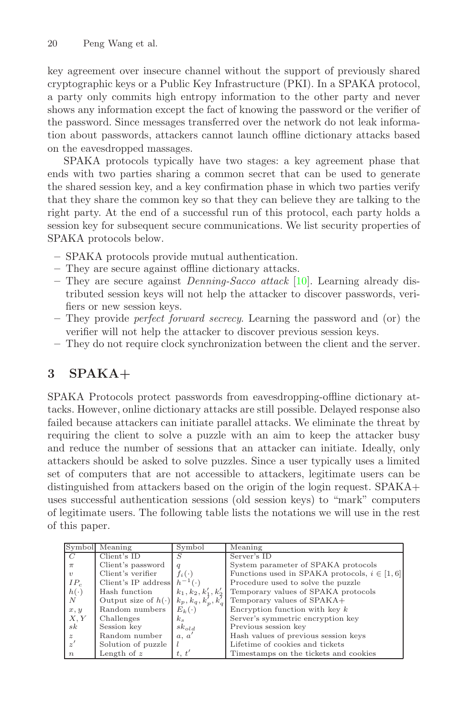key agreement over insecure channel without the support of previously shared cryptographic keys or a Public Key Infrastructure (PKI). In a SPAKA protocol, a party only commits high entropy information to the other party and never shows any information except the fact of knowing the password or the verifier of the password. Since messages transferred over the network do not leak information about passwords, attackers cannot launch offline dictionary attacks based on the eavesdropped massages.

SPAKA protocols typically have two stages: a key agreement phase that ends with two parties sharing a common secret that can be used to generate the shared session key, and a key confirmation phase in which two parties verify that they share the common key so that they can believe they are talking to the right party. At the end of a successful run of this protocol, each party holds a session key for subsequent secure communications. We list security properties of SPAKA protocols below.

- **–** SPAKA protocols provide mutual authentication.
- **–** They are secure against offline dictionary attacks.
- **–** They are secure against *Denning-Sacco attack* [\[10\]](#page-14-7). Learning already distributed session keys will not help the attacker to discover passwords, verifiers or new session keys.
- **–** They provide *perfect forward secrecy*. Learning the password and (or) the verifier will not help the attacker to discover previous session keys.
- **–** They do not require clock synchronization between the client and the server.

# <span id="page-3-0"></span>**3 SPAKA+**

SPAKA Protocols protect passwords from eavesdropping-offline dictionary attacks. However, online dictionary attacks are still possible. Delayed response also failed because attackers can initiate parallel attacks. We eliminate the threat by requiring the client to solve a puzzle with an aim to keep the attacker busy and reduce the number of sessions that an attacker can initiate. Ideally, only attackers should be asked to solve puzzles. Since a user typically uses a limited set of computers that are not accessible to attackers, legitimate users can be distinguished from attackers based on the origin of the login request. SPAKA+ uses successful authentication sessions (old session keys) to "mark" computers of legitimate users. The following table lists the notations we will use in the rest of this paper.

|                  | Symbol Meaning            | Symbol                 | Meaning                                           |
|------------------|---------------------------|------------------------|---------------------------------------------------|
|                  | Client's ID               |                        | Server's ID                                       |
| $\pi$            | Client's password         |                        | System parameter of SPAKA protocols               |
| $\eta$           | Client's verifier         | $f_i(\cdot)$           | Functions used in SPAKA protocols, $i \in [1, 6]$ |
| $IP_c$           | Client's IP address       | $h^{-1}(\cdot)$        | Procedure used to solve the puzzle                |
| $h(\cdot)$       | Hash function             | $k_1, k_2, k'_1, k'_2$ | Temporary values of SPAKA protocols               |
| $\boldsymbol{N}$ | Output size of $h(\cdot)$ | $k_p, k_q, k'_p, k'_q$ | Temporary values of SPAKA+                        |
| x, y             | Random numbers            | $E_k(\cdot)$           | Encryption function with key $k$                  |
| X, Y             | Challenges                | $k_{\rm s}$            | Server's symmetric encryption key                 |
| sk               | Session key               | $sk_{old}$             | Previous session key                              |
| $\boldsymbol{z}$ | Random number             | a, a'                  | Hash values of previous session keys              |
| z'               | Solution of puzzle        |                        | Lifetime of cookies and tickets                   |
| $\boldsymbol{n}$ | Length of $z$             | t, t'                  | Timestamps on the tickets and cookies             |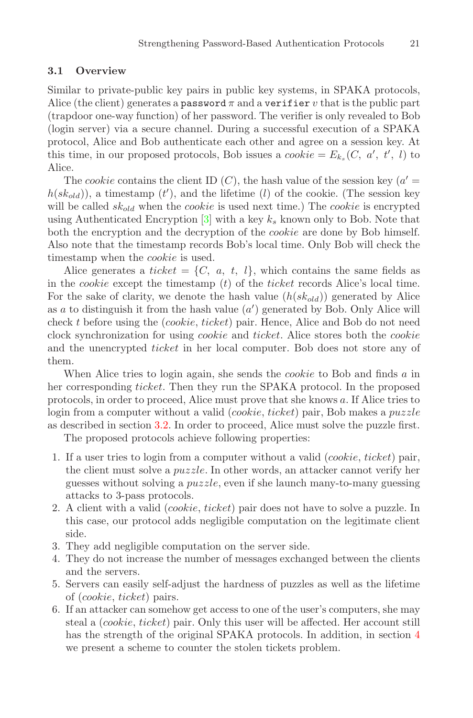#### **3.1 Overview**

Similar to private-public key pairs in public key systems, in SPAKA protocols, Alice (the client) generates a **password**  $\pi$  and a verifier v that is the public part (trapdoor one-way function) of her password. The verifier is only revealed to Bob (login server) via a secure channel. During a successful execution of a SPAKA protocol, Alice and Bob authenticate each other and agree on a session key. At this time, in our proposed protocols, Bob issues a *cookie* =  $E_{k_s}(C, a', t', l)$  to Alice.

The cookie contains the client ID  $(C)$ , the hash value of the session key  $(a' =$  $h(sk_{old})$ ), a timestamp  $(t')$ , and the lifetime (l) of the cookie. (The session key will be called  $sk_{old}$  when the *cookie* is used next time.) The *cookie* is encrypted using Authenticated Encryption  $[3]$  $[3]$  with a key  $k_s$  known only to Bob. Note that both the encryption and the decryption of the cookie are done by Bob himself. Also note that the timestamp records Bob's local time. Only Bob will check the timestamp when the cookie is used.

Alice generates a ticket  $=\{C, a, t, l\}$ , which contains the same fields as in the *cookie* except the timestamp  $(t)$  of the *ticket* records Alice's local time. For the sake of clarity, we denote the hash value  $(h(s k_{old}))$  generated by Alice as  $a$  to distinguish it from the hash value  $(a')$  generated by Bob. Only Alice will check t before using the (cookie, ticket) pair. Hence, Alice and Bob do not need clock synchronization for using cookie and ticket. Alice stores both the cookie and the unencrypted ticket in her local computer. Bob does not store any of them.

When Alice tries to login again, she sends the *cookie* to Bob and finds a in her corresponding ticket. Then they run the SPAKA protocol. In the proposed protocols, in order to proceed, Alice must prove that she knows a. If Alice tries to login from a computer without a valid (*cookie*, *ticket*) pair, Bob makes a *puzzle* as described in section [3.2.](#page-5-0) In order to proceed, Alice must solve the puzzle first.

The proposed protocols achieve following properties:

- 1. If a user tries to login from a computer without a valid (cookie, ticket) pair, the client must solve a puzzle. In other words, an attacker cannot verify her guesses without solving a puzzle, even if she launch many-to-many guessing attacks to 3-pass protocols.
- 2. A client with a valid (cookie, ticket) pair does not have to solve a puzzle. In this case, our protocol adds negligible computation on the legitimate client side.
- 3. They add negligible computation on the server side.
- 4. They do not increase the number of messages exchanged between the clients and the servers.
- 5. Servers can easily self-adjust the hardness of puzzles as well as the lifetime of (cookie, ticket) pairs.
- 6. If an attacker can somehow get access to one of the user's computers, she may steal a (cookie, ticket) pair. Only this user will be affected. Her account still has the strength of the original SPAKA protocols. In addition, in section [4](#page-9-0) we present a scheme to counter the stolen tickets problem.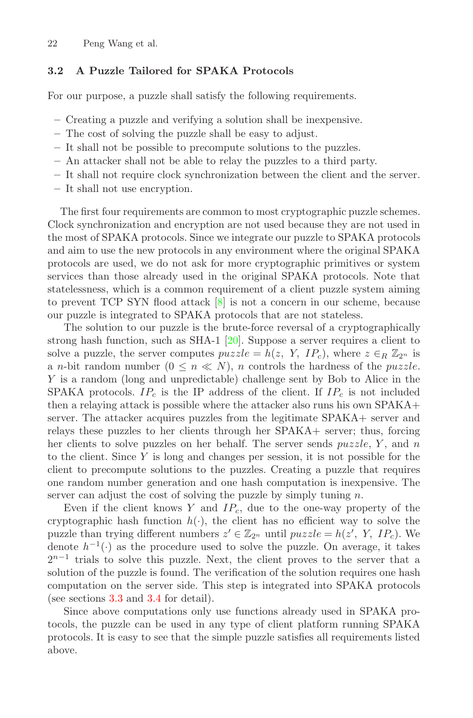#### <span id="page-5-0"></span>**3.2 A Puzzle Tailored for SPAKA Protocols**

For our purpose, a puzzle shall satisfy the following requirements.

- **–** Creating a puzzle and verifying a solution shall be inexpensive.
- **–** The cost of solving the puzzle shall be easy to adjust.
- **–** It shall not be possible to precompute solutions to the puzzles.
- **–** An attacker shall not be able to relay the puzzles to a third party.
- **–** It shall not require clock synchronization between the client and the server.
- **–** It shall not use encryption.

The first four requirements are common to most cryptographic puzzle schemes. Clock synchronization and encryption are not used because they are not used in the most of SPAKA protocols. Since we integrate our puzzle to SPAKA protocols and aim to use the new protocols in any environment where the original SPAKA protocols are used, we do not ask for more cryptographic primitives or system services than those already used in the original SPAKA protocols. Note that statelessness, which is a common requirement of a client puzzle system aiming to prevent TCP SYN flood attack [\[8\]](#page-14-9) is not a concern in our scheme, because our puzzle is integrated to SPAKA protocols that are not stateless.

The solution to our puzzle is the brute-force reversal of a cryptographically strong hash function, such as SHA-1 [\[20](#page-15-13)]. Suppose a server requires a client to solve a puzzle, the server computes  $puzzle = h(z, Y, IP_c)$ , where  $z \in_R \mathbb{Z}_{2^n}$  is a *n*-bit random number  $(0 \le n \ll N)$ , *n* controls the hardness of the *puzzle*. Y is a random (long and unpredictable) challenge sent by Bob to Alice in the SPAKA protocols.  $IP_c$  is the IP address of the client. If  $IP_c$  is not included then a relaying attack is possible where the attacker also runs his own SPAKA+ server. The attacker acquires puzzles from the legitimate SPAKA+ server and relays these puzzles to her clients through her SPAKA+ server; thus, forcing her clients to solve puzzles on her behalf. The server sends  $puzzle, Y$ , and n to the client. Since Y is long and changes per session, it is not possible for the client to precompute solutions to the puzzles. Creating a puzzle that requires one random number generation and one hash computation is inexpensive. The server can adjust the cost of solving the puzzle by simply tuning  $n$ .

Even if the client knows Y and  $IP<sub>c</sub>$ , due to the one-way property of the cryptographic hash function  $h(\cdot)$ , the client has no efficient way to solve the puzzle than trying different numbers  $z' \in \mathbb{Z}_{2^n}$  until  $puzzle = h(z', Y, IP_c)$ . We denote  $h^{-1}(\cdot)$  as the procedure used to solve the puzzle. On average, it takes  $2^{n-1}$  trials to solve this puzzle. Next, the client proves to the server that a solution of the puzzle is found. The verification of the solution requires one hash computation on the server side. This step is integrated into SPAKA protocols (see sections [3.3](#page-6-0) and [3.4](#page-7-0) for detail).

Since above computations only use functions already used in SPAKA protocols, the puzzle can be used in any type of client platform running SPAKA protocols. It is easy to see that the simple puzzle satisfies all requirements listed above.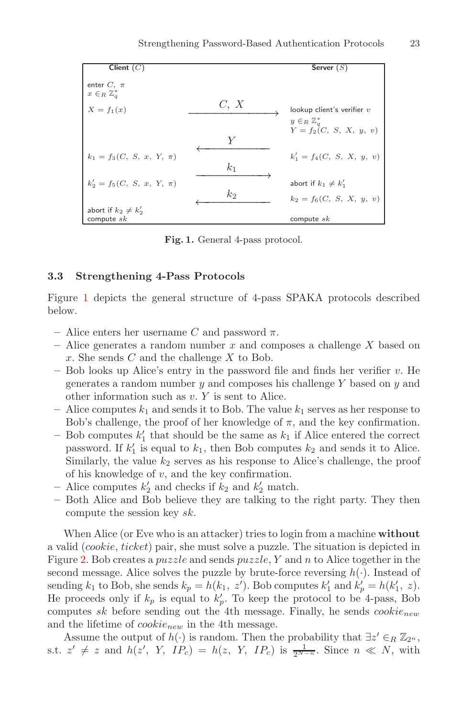| Client $(C)$                                               |                | Server $(S)$                                                                   |
|------------------------------------------------------------|----------------|--------------------------------------------------------------------------------|
| enter C, $\pi$<br>$x \in_R \mathbb{Z}_q^*$<br>$X = f_1(x)$ | C, X           | lookup client's verifier $v$                                                   |
|                                                            | Y              | $\begin{array}{l} y\in_R\mathbb{Z}_q^*\\ Y=f_2(C,\ S,\ X,\ y,\ v) \end{array}$ |
| $k_1 = f_3(C, S, x, Y, \pi)$                               | k <sub>1</sub> | $k'_1 = f_4(C, S, X, y, v)$                                                    |
| $k'_2 = f_5(C, S, x, Y, \pi)$                              |                | abort if $k_1 \neq k'_1$                                                       |
| abort if $k_2 \neq k'_2$                                   | $k_2$          | $k_2 = f_6(C, S, X, y, v)$                                                     |
| compute $sk$                                               |                | compute $sk$                                                                   |

<span id="page-6-1"></span>**Fig. 1.** General 4-pass protocol.

#### <span id="page-6-0"></span>**3.3 Strengthening 4-Pass Protocols**

Figure [1](#page-6-1) depicts the general structure of 4-pass SPAKA protocols described below.

- **–** Alice enters her username C and password π.
- **–** Alice generates a random number x and composes a challenge X based on x. She sends  $C$  and the challenge  $X$  to Bob.
- **–** Bob looks up Alice's entry in the password file and finds her verifier v. He generates a random number  $y$  and composes his challenge  $Y$  based on  $y$  and other information such as  $v$ .  $Y$  is sent to Alice.
- Alice computes  $k_1$  and sends it to Bob. The value  $k_1$  serves as her response to Bob's challenge, the proof of her knowledge of  $\pi$ , and the key confirmation.
- $-$  Bob computes  $k'_1$  that should be the same as  $k_1$  if Alice entered the correct password. If  $k'_1$  is equal to  $k_1$ , then Bob computes  $k_2$  and sends it to Alice. Similarly, the value  $k_2$  serves as his response to Alice's challenge, the proof of his knowledge of  $v$ , and the key confirmation.
- $-$  Alice computes  $k'_2$  and checks if  $k_2$  and  $k'_2$  match.
- **–** Both Alice and Bob believe they are talking to the right party. They then compute the session key sk.

When Alice (or Eve who is an attacker) tries to login from a machine **without** a valid (cookie, ticket) pair, she must solve a puzzle. The situation is depicted in Figure [2.](#page-7-1) Bob creates a *puzzle* and sends *puzzle*, Y and n to Alice together in the second message. Alice solves the puzzle by brute-force reversing  $h(\cdot)$ . Instead of sending  $k_1$  to Bob, she sends  $k_p = h(k_1, z')$ . Bob computes  $k'_1$  and  $k'_p = h(k'_1, z)$ . He proceeds only if  $k_p$  is equal to  $k'_p$ . To keep the protocol to be 4-pass, Bob computes sk before sending out the 4th message. Finally, he sends  $cookie_{new}$ and the lifetime of  $cookie_{new}$  in the 4th message.

Assume the output of  $h(\cdot)$  is random. Then the probability that  $\exists z' \in_R \mathbb{Z}_{2^n}$ , s.t.  $z' \neq z$  and  $h(z', Y, IP_c) = h(z, Y, IP_c)$  is  $\frac{1}{2^{N-n}}$ . Since  $n \ll N$ , with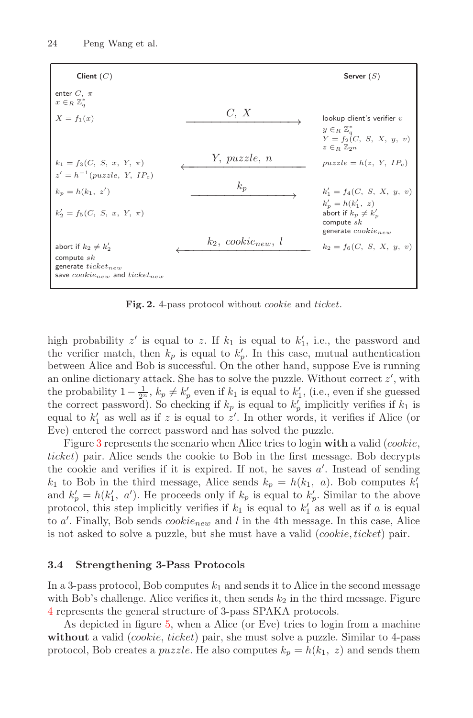| Client $(C)$                                                                      |                                   | Server $(S)$                                                                                      |
|-----------------------------------------------------------------------------------|-----------------------------------|---------------------------------------------------------------------------------------------------|
| enter $C, \pi$<br>$x \in_R \mathbb{Z}_a^*$<br>$X = f_1(x)$                        | C, X                              | lookup client's verifier $v$<br>$y \in_R \mathbb{Z}_a^*$                                          |
| $k_1 = f_3(C, S, x, Y, \pi)$<br>$z' = h^{-1}(puzzle, Y, IP_c)$                    | $Y, \; puzzle, \; n$              | $Y = f_2(C, S, X, y, v)$<br>$z \in R \mathbb{Z}_{2}$<br>$puzzle = h(z, Y, IP_c)$                  |
| $k_n = h(k_1, z')$<br>$k'_2 = f_5(C, S, x, Y, \pi)$                               | $k_p$                             | $k'_1 = f_4(C, S, X, y, v)$<br>$k'_n = h(k'_1, z)$                                                |
| abort if $k_2 \neq k'_2$                                                          | $k_2$ , cookie <sub>new</sub> , l | abort if $k_p \neq k'_p$<br>compute $sk$<br>generate $cookie_{new}$<br>$k_2 = f_6(C, S, X, y, v)$ |
| compute $sk$<br>generate $ticket_{new}$<br>save $cookie_{new}$ and $ticket_{new}$ |                                   |                                                                                                   |

**Fig. 2.** 4-pass protocol without *cookie* and *ticket*.

<span id="page-7-1"></span>high probability  $z'$  is equal to z. If  $k_1$  is equal to  $k'_1$ , i.e., the password and the verifier match, then  $k_p$  is equal to  $k'_p$ . In this case, mutual authentication between Alice and Bob is successful. On the other hand, suppose Eve is running an online dictionary attack. She has to solve the puzzle. Without correct z , with the probability  $1 - \frac{1}{2^n}$ ,  $k_p \neq k'_p$  even if  $k_1$  is equal to  $k'_1$ , (i.e., even if she guessed the correct password). So checking if  $k_p$  is equal to  $k'_p$  implicitly verifies if  $k_1$  is equal to  $k'_1$  as well as if z is equal to  $z'$ . In other words, it verifies if Alice (or Eve) entered the correct password and has solved the puzzle.

Figure [3](#page-8-0) represents the scenario when Alice tries to login **with** a valid (cookie, ticket) pair. Alice sends the cookie to Bob in the first message. Bob decrypts the cookie and verifies if it is expired. If not, he saves  $a'$ . Instead of sending  $k_1$  to Bob in the third message, Alice sends  $k_p = h(k_1, a)$ . Bob computes  $k'_1$ and  $k'_{p} = h(k'_{1}, a')$ . He proceeds only if  $k_{p}$  is equal to  $k'_{p}$ . Similar to the above protocol, this step implicitly verifies if  $k_1$  is equal to  $k'_1$  as well as if a is equal to  $a'$ . Finally, Bob sends  $cookie_{new}$  and l in the 4th message. In this case, Alice is not asked to solve a puzzle, but she must have a valid (cookie, ticket) pair.

#### <span id="page-7-0"></span>**3.4 Strengthening 3-Pass Protocols**

In a 3-pass protocol, Bob computes  $k_1$  and sends it to Alice in the second message with Bob's challenge. Alice verifies it, then sends  $k_2$  in the third message. Figure [4](#page-9-1) represents the general structure of 3-pass SPAKA protocols.

As depicted in figure [5,](#page-10-0) when a Alice (or Eve) tries to login from a machine without a valid (cookie, ticket) pair, she must solve a puzzle. Similar to 4-pass protocol, Bob creates a *puzzle*. He also computes  $k_p = h(k_1, z)$  and sends them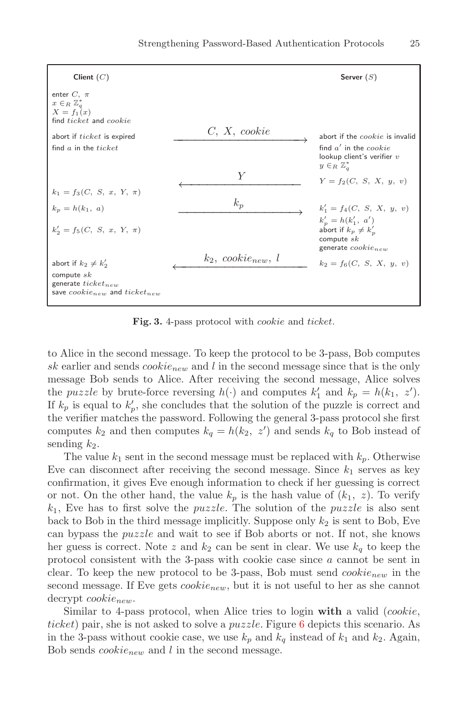| Client $(C)$                                                                                                                                   |                                   | Server $(S)$                                                                                                              |
|------------------------------------------------------------------------------------------------------------------------------------------------|-----------------------------------|---------------------------------------------------------------------------------------------------------------------------|
| enter $C, \pi$<br>$x \in_R \mathbb{Z}_a^*$<br>$X = f_1(x)$<br>find ticket and cookie<br>abort if ticket is expired<br>find $a$ in the $ticket$ | $C, X, \text{ cookie}$            | abort if the cookie is invalid<br>find $a'$ in the cookie<br>lookup client's verifier $v$                                 |
| $k_1 = f_3(C, S, x, Y, \pi)$<br>$k_p = h(k_1, a)$                                                                                              | Y<br>$k_p$                        | $y \in_R \mathbb{Z}_a^*$<br>$Y = f_2(C, S, X, y, v)$<br>$k'_1 = f_4(C, S, X, y, v)$                                       |
| $k'_2 = f_5(C, S, x, Y, \pi)$<br>abort if $k_2 \neq k'_2$                                                                                      | $k_2$ , cookie <sub>new</sub> , l | $k'_n = h(k'_1, a')$<br>abort if $k_p \neq k'_p$<br>compute $sk$<br>generate $cookie_{new}$<br>$k_2 = f_6(C, S, X, y, v)$ |
| compute $sk$<br>generate $ticket_{new}$<br>save $cookie_{new}$ and $ticket_{new}$                                                              |                                   |                                                                                                                           |

<span id="page-8-0"></span>**Fig. 3.** 4-pass protocol with *cookie* and *ticket*.

to Alice in the second message. To keep the protocol to be 3-pass, Bob computes sk earlier and sends  $cookie_{new}$  and l in the second message since that is the only message Bob sends to Alice. After receiving the second message, Alice solves the *puzzle* by brute-force reversing  $h(\cdot)$  and computes  $k'_1$  and  $k_p = h(k_1, z')$ . If  $k_p$  is equal to  $k'_p$ , she concludes that the solution of the puzzle is correct and the verifier matches the password. Following the general 3-pass protocol she first computes  $k_2$  and then computes  $k_q = h(k_2, z')$  and sends  $k_q$  to Bob instead of sending  $k_2$ .

The value  $k_1$  sent in the second message must be replaced with  $k_p$ . Otherwise Eve can disconnect after receiving the second message. Since  $k_1$  serves as key confirmation, it gives Eve enough information to check if her guessing is correct or not. On the other hand, the value  $k_p$  is the hash value of  $(k_1, z)$ . To verify  $k_1$ , Eve has to first solve the *puzzle*. The solution of the *puzzle* is also sent back to Bob in the third message implicitly. Suppose only  $k_2$  is sent to Bob, Eve can bypass the puzzle and wait to see if Bob aborts or not. If not, she knows her guess is correct. Note z and  $k_2$  can be sent in clear. We use  $k_q$  to keep the protocol consistent with the 3-pass with cookie case since a cannot be sent in clear. To keep the new protocol to be 3-pass, Bob must send *cookie<sub>new</sub>* in the second message. If Eve gets  $cookie_{new}$ , but it is not useful to her as she cannot decrypt cookienew.

Similar to 4-pass protocol, when Alice tries to login **with** a valid (cookie, ticket) pair, she is not asked to solve a *puzzle*. Figure [6](#page-11-0) depicts this scenario. As in the 3-pass without cookie case, we use  $k_p$  and  $k_q$  instead of  $k_1$  and  $k_2$ . Again, Bob sends  $cookie_{new}$  and l in the second message.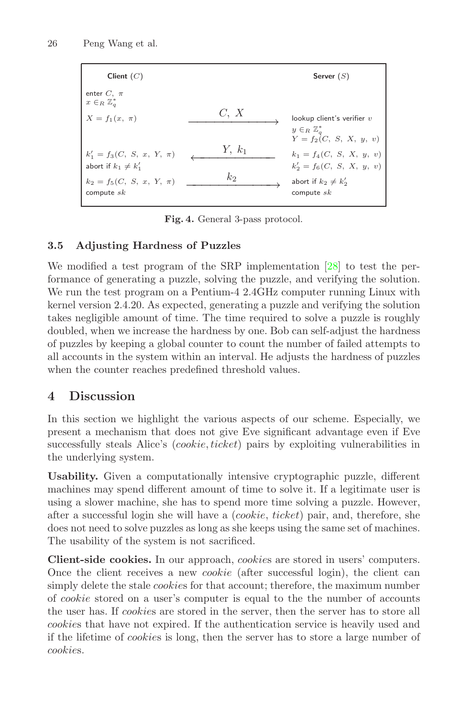| Client $(C)$                                              |          | Server $(S)$                                                                         |
|-----------------------------------------------------------|----------|--------------------------------------------------------------------------------------|
| enter $C, \pi$<br>$x \in_R \mathbb{Z}_a^*$                |          |                                                                                      |
| $X = f_1(x, \pi)$                                         | C, X     | lookup client's verifier $v$<br>$y \in_R \mathbb{Z}_q^*$<br>$Y = f_2(C, S, X, y, v)$ |
| $k'_1 = f_3(C, S, x, Y, \pi)$<br>abort if $k_1 \neq k'_1$ | $Y, k_1$ | $k_1 = f_4(C, S, X, y, v)$<br>$k'_2 = f_6(C, S, X, y, v)$                            |
| $k_2 = f_5(C, S, x, Y, \pi)$<br>compute $sk$              | $k_2$    | abort if $k_2 \neq k'_2$<br>compute $sk$                                             |

<span id="page-9-1"></span>**Fig. 4.** General 3-pass protocol.

### **3.5 Adjusting Hardness of Puzzles**

We modified a test program of the SRP implementation [\[28\]](#page-15-14) to test the performance of generating a puzzle, solving the puzzle, and verifying the solution. We run the test program on a Pentium-4 2.4GHz computer running Linux with kernel version 2.4.20. As expected, generating a puzzle and verifying the solution takes negligible amount of time. The time required to solve a puzzle is roughly doubled, when we increase the hardness by one. Bob can self-adjust the hardness of puzzles by keeping a global counter to count the number of failed attempts to all accounts in the system within an interval. He adjusts the hardness of puzzles when the counter reaches predefined threshold values.

# <span id="page-9-0"></span>**4 Discussion**

In this section we highlight the various aspects of our scheme. Especially, we present a mechanism that does not give Eve significant advantage even if Eve successfully steals Alice's (*cookie, ticket*) pairs by exploiting vulnerabilities in the underlying system.

**Usability.** Given a computationally intensive cryptographic puzzle, different machines may spend different amount of time to solve it. If a legitimate user is using a slower machine, she has to spend more time solving a puzzle. However, after a successful login she will have a (cookie, ticket) pair, and, therefore, she does not need to solve puzzles as long as she keeps using the same set of machines. The usability of the system is not sacrificed.

**Client-side cookies.** In our approach, cookies are stored in users' computers. Once the client receives a new cookie (after successful login), the client can simply delete the stale *cookies* for that account; therefore, the maximum number of cookie stored on a user's computer is equal to the the number of accounts the user has. If cookies are stored in the server, then the server has to store all cookies that have not expired. If the authentication service is heavily used and if the lifetime of cookies is long, then the server has to store a large number of cookies.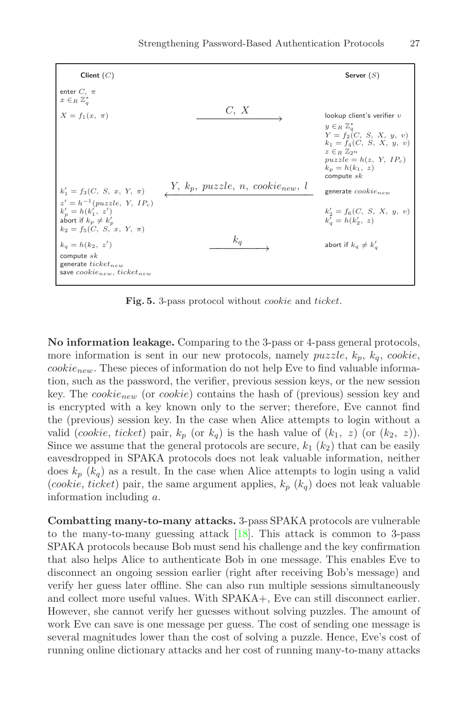| Client $(C)$                                                                                                       |                                               | Server $(S)$                                                                                                                                                                                                     |
|--------------------------------------------------------------------------------------------------------------------|-----------------------------------------------|------------------------------------------------------------------------------------------------------------------------------------------------------------------------------------------------------------------|
| enter C, $\pi$<br>$x \in_R \mathbb{Z}_a^*$                                                                         | C, X                                          |                                                                                                                                                                                                                  |
| $X = f_1(x, \pi)$                                                                                                  |                                               | lookup client's verifier $v$<br>$y \in_R \mathbb{Z}_a^*$<br>$Y = f_2(C, S, X, y, v)$<br>$k_1 = f_4(C, S, X, y, v)$<br>$z \in_R \mathbb{Z}_{2n}$<br>$puzzle = h(z, Y, IP_c)$<br>$k_p = h(k_1, z)$<br>compute $sk$ |
| $k'_1 = f_3(C, S, x, Y, \pi)$                                                                                      | $Y, k_p, \; puzzle, n, \; cookie_{new}, \; l$ | generate $cookie_{new}$                                                                                                                                                                                          |
| $z' = h^{-1}(puzzle, Y, IP_c)$<br>$k'_n = h(k'_1, z')$<br>abort if $k_p \neq k'_p$<br>$k_2 = f_5(C, S, x, Y, \pi)$ |                                               | $k'_2 = f_6(C, S, X, y, v)$<br>$k'_a = h(k'_2, z)$                                                                                                                                                               |
| $k_a = h(k_2, z')$<br>compute $sk$<br>generate $ticket_{new}$<br>save $cookie_{new}$ , ticket <sub>new</sub>       | $k_q$                                         | abort if $k_q \neq k'_q$                                                                                                                                                                                         |
|                                                                                                                    |                                               |                                                                                                                                                                                                                  |

<span id="page-10-0"></span>**Fig. 5.** 3-pass protocol without *cookie* and *ticket*.

**No information leakage.** Comparing to the 3-pass or 4-pass general protocols, more information is sent in our new protocols, namely  $puzzle, k_p, k_q, cookie,$  $cookie_{new}$ . These pieces of information do not help Eve to find valuable information, such as the password, the verifier, previous session keys, or the new session key. The *cookie<sub>new</sub>* (or *cookie*) contains the hash of (previous) session key and is encrypted with a key known only to the server; therefore, Eve cannot find the (previous) session key. In the case when Alice attempts to login without a valid (cookie, ticket) pair,  $k_p$  (or  $k_q$ ) is the hash value of  $(k_1, z)$  (or  $(k_2, z)$ ). Since we assume that the general protocols are secure,  $k_1$   $(k_2)$  that can be easily eavesdropped in SPAKA protocols does not leak valuable information, neither does  $k_p$  ( $k_q$ ) as a result. In the case when Alice attempts to login using a valid (cookie, ticket) pair, the same argument applies,  $k_p$  ( $k_q$ ) does not leak valuable information including a.

**Combatting many-to-many attacks.** 3-pass SPAKA protocols are vulnerable to the many-to-many guessing attack  $[18]$  $[18]$ . This attack is common to 3-pass SPAKA protocols because Bob must send his challenge and the key confirmation that also helps Alice to authenticate Bob in one message. This enables Eve to disconnect an ongoing session earlier (right after receiving Bob's message) and verify her guess later offline. She can also run multiple sessions simultaneously and collect more useful values. With SPAKA+, Eve can still disconnect earlier. However, she cannot verify her guesses without solving puzzles. The amount of work Eve can save is one message per guess. The cost of sending one message is several magnitudes lower than the cost of solving a puzzle. Hence, Eve's cost of running online dictionary attacks and her cost of running many-to-many attacks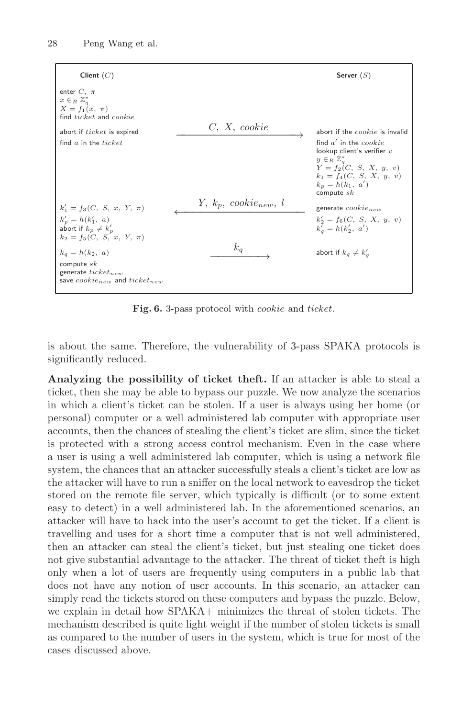**Client** (C) **Server** (S) enter  $C$ ,  $\pi$  $x \in_R \mathbb{Z}_q^*$ <br>  $X = f_1(x, \pi)$ find ticket and cookie abort if ticket is expired  $\begin{array}{ccccc} & C, X, & \text{cookie} & \text{a} & \text{a} & \text{d} \end{array}$  abort if the cookie is invalided that is invalided in the cookie is invalided in the cookie is invalided in the cookie is invalided in the cookie is find  $a$  in the ticket find a' in the cookie lookup client's verifier  $\boldsymbol{v}$  $y ∈ R \mathbb{Z}_q^*$  $Y = f_2(C, S, X, y, v)$ <br>  $k_1 = f_4(C, S, X, y, v)$ <br>  $k_p = h(k_1, a')$  $commute$  $k'_1 = f_3(C, S, x, Y, \pi)$  $Y, k_p, \text{ cookie}_{new}, \textit{l}$ ←−−−−−−−−−−−−−−− generate cookie*new*  $k'_p = h(k'_1)$  $k_2'$ , a)  $k_3'$  $k'_2 = f_6(C, S, X, y, v)$ abort if  $k_p \neq k'_p$  abort if  $k_p \neq k'_q$  $q = h(k'_2, a')$  $k_2 = f_5(C, S, x, Y, \pi)$  $k_q = h(k_2, a)$  k<sub>q</sub> = h(k<sub>2</sub>, a)  $\overrightarrow{hq}$  abort if  $k_q \neq k'_q$ compute  $sk$ generate ticket*new* save cookie*new* and ticket*new*

<span id="page-11-0"></span>**Fig. 6.** 3-pass protocol with *cookie* and *ticket*.

is about the same. Therefore, the vulnerability of 3-pass SPAKA protocols is significantly reduced.

**Analyzing the possibility of ticket theft.** If an attacker is able to steal a ticket, then she may be able to bypass our puzzle. We now analyze the scenarios in which a client's ticket can be stolen. If a user is always using her home (or personal) computer or a well administered lab computer with appropriate user accounts, then the chances of stealing the client's ticket are slim, since the ticket is protected with a strong access control mechanism. Even in the case where a user is using a well administered lab computer, which is using a network file system, the chances that an attacker successfully steals a client's ticket are low as the attacker will have to run a sniffer on the local network to eavesdrop the ticket stored on the remote file server, which typically is difficult (or to some extent easy to detect) in a well administered lab. In the aforementioned scenarios, an attacker will have to hack into the user's account to get the ticket. If a client is travelling and uses for a short time a computer that is not well administered, then an attacker can steal the client's ticket, but just stealing one ticket does not give substantial advantage to the attacker. The threat of ticket theft is high only when a lot of users are frequently using computers in a public lab that does not have any notion of user accounts. In this scenario, an attacker can simply read the tickets stored on these computers and bypass the puzzle. Below, we explain in detail how SPAKA+ minimizes the threat of stolen tickets. The mechanism described is quite light weight if the number of stolen tickets is small as compared to the number of users in the system, which is true for most of the cases discussed above.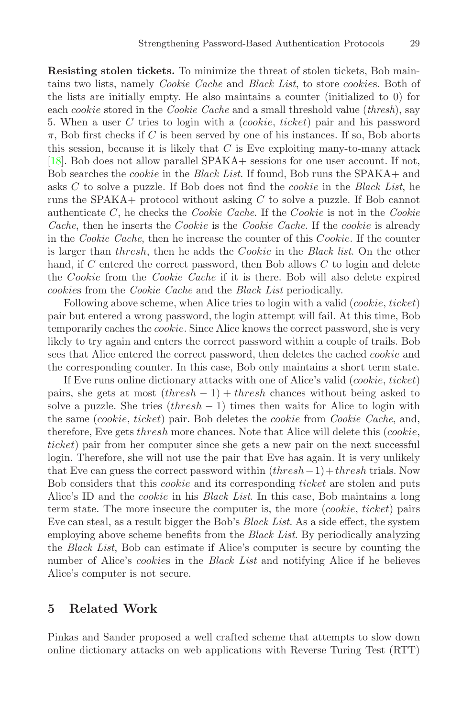**Resisting stolen tickets.** To minimize the threat of stolen tickets, Bob maintains two lists, namely *Cookie Cache* and *Black List*, to store cookies. Both of the lists are initially empty. He also maintains a counter (initialized to 0) for each cookie stored in the *Cookie Cache* and a small threshold value (*thresh*), say 5. When a user C tries to login with a (cookie, ticket) pair and his password  $\pi$ , Bob first checks if C is been served by one of his instances. If so, Bob aborts this session, because it is likely that  $C$  is Eve exploiting many-to-many attack [\[18\]](#page-15-9). Bob does not allow parallel SPAKA+ sessions for one user account. If not, Bob searches the cookie in the *Black List*. If found, Bob runs the SPAKA+ and asks C to solve a puzzle. If Bob does not find the cookie in the *Black List*, he runs the SPAKA+ protocol without asking  $C$  to solve a puzzle. If Bob cannot authenticate C, he checks the *Cookie Cache*. If the Cookie is not in the *Cookie Cache*, then he inserts the Cookie is the *Cookie Cache*. If the cookie is already in the *Cookie Cache*, then he increase the counter of this Cookie. If the counter is larger than thresh, then he adds the Cookie in the *Black list*. On the other hand, if  $C$  entered the correct password, then Bob allows  $C$  to login and delete the Cookie from the *Cookie Cache* if it is there. Bob will also delete expired cookies from the *Cookie Cache* and the *Black List* periodically.

Following above scheme, when Alice tries to login with a valid (*cookie, ticket*) pair but entered a wrong password, the login attempt will fail. At this time, Bob temporarily caches the *cookie*. Since Alice knows the correct password, she is very likely to try again and enters the correct password within a couple of trails. Bob sees that Alice entered the correct password, then deletes the cached *cookie* and the corresponding counter. In this case, Bob only maintains a short term state.

If Eve runs online dictionary attacks with one of Alice's valid (cookie, ticket) pairs, she gets at most  $(thresh - 1) + thresh$  chances without being asked to solve a puzzle. She tries  $(thresh - 1)$  times then waits for Alice to login with the same (cookie, ticket) pair. Bob deletes the cookie from *Cookie Cache*, and, therefore, Eve gets *thresh* more chances. Note that Alice will delete this (*cookie*, ticket) pair from her computer since she gets a new pair on the next successful login. Therefore, she will not use the pair that Eve has again. It is very unlikely that Eve can guess the correct password within  $(thresh-1)+thresh$  trials. Now Bob considers that this *cookie* and its corresponding *ticket* are stolen and puts Alice's ID and the cookie in his *Black List*. In this case, Bob maintains a long term state. The more insecure the computer is, the more (cookie, ticket) pairs Eve can steal, as a result bigger the Bob's *Black List*. As a side effect, the system employing above scheme benefits from the *Black List*. By periodically analyzing the *Black List*, Bob can estimate if Alice's computer is secure by counting the number of Alice's cookies in the *Black List* and notifying Alice if he believes Alice's computer is not secure.

### <span id="page-12-0"></span>**5 Related Work**

Pinkas and Sander proposed a well crafted scheme that attempts to slow down online dictionary attacks on web applications with Reverse Turing Test (RTT)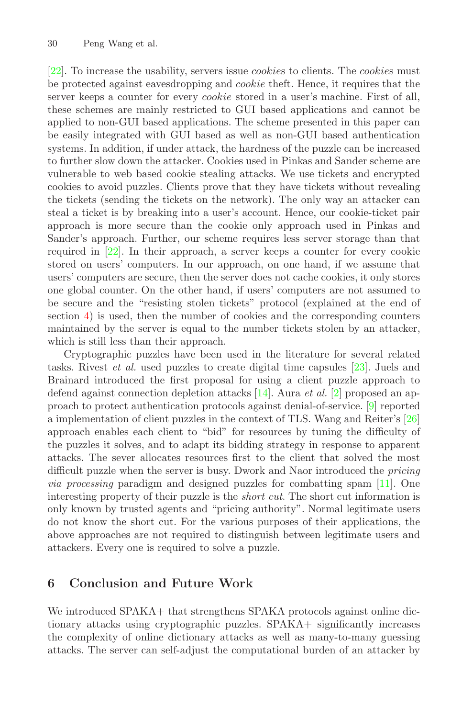[\[22\]](#page-15-15). To increase the usability, servers issue cookies to clients. The cookies must be protected against eavesdropping and cookie theft. Hence, it requires that the server keeps a counter for every cookie stored in a user's machine. First of all, these schemes are mainly restricted to GUI based applications and cannot be applied to non-GUI based applications. The scheme presented in this paper can be easily integrated with GUI based as well as non-GUI based authentication systems. In addition, if under attack, the hardness of the puzzle can be increased to further slow down the attacker. Cookies used in Pinkas and Sander scheme are vulnerable to web based cookie stealing attacks. We use tickets and encrypted cookies to avoid puzzles. Clients prove that they have tickets without revealing the tickets (sending the tickets on the network). The only way an attacker can steal a ticket is by breaking into a user's account. Hence, our cookie-ticket pair approach is more secure than the cookie only approach used in Pinkas and Sander's approach. Further, our scheme requires less server storage than that required in [\[22\]](#page-15-15). In their approach, a server keeps a counter for every cookie stored on users' computers. In our approach, on one hand, if we assume that users' computers are secure, then the server does not cache cookies, it only stores one global counter. On the other hand, if users' computers are not assumed to be secure and the "resisting stolen tickets" protocol (explained at the end of section  $\overline{4}$ ) is used, then the number of cookies and the corresponding counters maintained by the server is equal to the number tickets stolen by an attacker, which is still less than their approach.

Cryptographic puzzles have been used in the literature for several related tasks. Rivest *et al.* used puzzles to create digital time capsules [\[23\]](#page-15-16). Juels and Brainard introduced the first proposal for using a client puzzle approach to defend against connection depletion attacks [\[14\]](#page-15-17). Aura *et al.* [\[2\]](#page-14-10) proposed an approach to protect authentication protocols against denial-of-service. [\[9](#page-14-11)] reported a implementation of client puzzles in the context of TLS. Wang and Reiter's [\[26](#page-15-18)] approach enables each client to "bid" for resources by tuning the difficulty of the puzzles it solves, and to adapt its bidding strategy in response to apparent attacks. The sever allocates resources first to the client that solved the most difficult puzzle when the server is busy. Dwork and Naor introduced the *pricing via processing* paradigm and designed puzzles for combatting spam [\[11](#page-14-12)]. One interesting property of their puzzle is the *short cut*. The short cut information is only known by trusted agents and "pricing authority". Normal legitimate users do not know the short cut. For the various purposes of their applications, the above approaches are not required to distinguish between legitimate users and attackers. Every one is required to solve a puzzle.

## <span id="page-13-0"></span>**6 Conclusion and Future Work**

We introduced SPAKA+ that strengthens SPAKA protocols against online dictionary attacks using cryptographic puzzles. SPAKA+ significantly increases the complexity of online dictionary attacks as well as many-to-many guessing attacks. The server can self-adjust the computational burden of an attacker by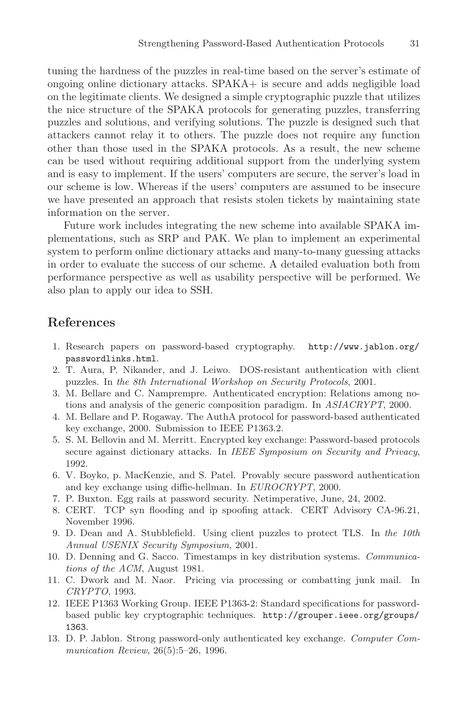tuning the hardness of the puzzles in real-time based on the server's estimate of ongoing online dictionary attacks. SPAKA+ is secure and adds negligible load on the legitimate clients. We designed a simple cryptographic puzzle that utilizes the nice structure of the SPAKA protocols for generating puzzles, transferring puzzles and solutions, and verifying solutions. The puzzle is designed such that attackers cannot relay it to others. The puzzle does not require any function other than those used in the SPAKA protocols. As a result, the new scheme can be used without requiring additional support from the underlying system and is easy to implement. If the users' computers are secure, the server's load in our scheme is low. Whereas if the users' computers are assumed to be insecure we have presented an approach that resists stolen tickets by maintaining state information on the server.

Future work includes integrating the new scheme into available SPAKA implementations, such as SRP and PAK. We plan to implement an experimental system to perform online dictionary attacks and many-to-many guessing attacks in order to evaluate the success of our scheme. A detailed evaluation both from performance perspective as well as usability perspective will be performed. We also plan to apply our idea to SSH.

### <span id="page-14-1"></span>**References**

- 1. Research papers on password-based cryptography. http://www.jablon.org/ passwordlinks.html.
- <span id="page-14-10"></span>2. T. Aura, P. Nikander, and J. Leiwo. DOS-resistant authentication with client puzzles. In *the 8th International Workshop on Security Protocols*, 2001.
- <span id="page-14-8"></span>3. M. Bellare and C. Namprempre. Authenticated encryption: Relations among notions and analysis of the generic composition paradigm. In *ASIACRYPT*, 2000.
- <span id="page-14-5"></span>4. M. Bellare and P. Rogaway. The AuthA protocol for password-based authenticated key exchange, 2000. Submission to IEEE P1363.2.
- <span id="page-14-3"></span>5. S. M. Bellovin and M. Merritt. Encrypted key exchange: Password-based protocols secure against dictionary attacks. In *IEEE Symposium on Security and Privacy*, 1992.
- <span id="page-14-6"></span>6. V. Boyko, p. MacKenzie, and S. Patel. Provably secure password authentication and key exchange using diffie-hellman. In *EUROCRYPT*, 2000.
- <span id="page-14-0"></span>7. P. Buxton. Egg rails at password security. Netimperative, June, 24, 2002.
- <span id="page-14-9"></span>8. CERT. TCP syn flooding and ip spoofing attack. CERT Advisory CA-96.21, November 1996.
- 9. D. Dean and A. Stubblefield. Using client puzzles to protect TLS. In *the 10th Annual USENIX Security Symposium*, 2001.
- <span id="page-14-11"></span><span id="page-14-7"></span>10. D. Denning and G. Sacco. Timestamps in key distribution systems. *Communications of the ACM*, August 1981.
- <span id="page-14-12"></span>11. C. Dwork and M. Naor. Pricing via processing or combatting junk mail. In *CRYPTO*, 1993.
- <span id="page-14-2"></span>12. IEEE P1363 Working Group. IEEE P1363-2: Standard specifications for passwordbased public key cryptographic techniques. http://grouper.ieee.org/groups/ 1363.
- <span id="page-14-4"></span>13. D. P. Jablon. Strong password-only authenticated key exchange. *Computer Communication Review*, 26(5):5–26, 1996.